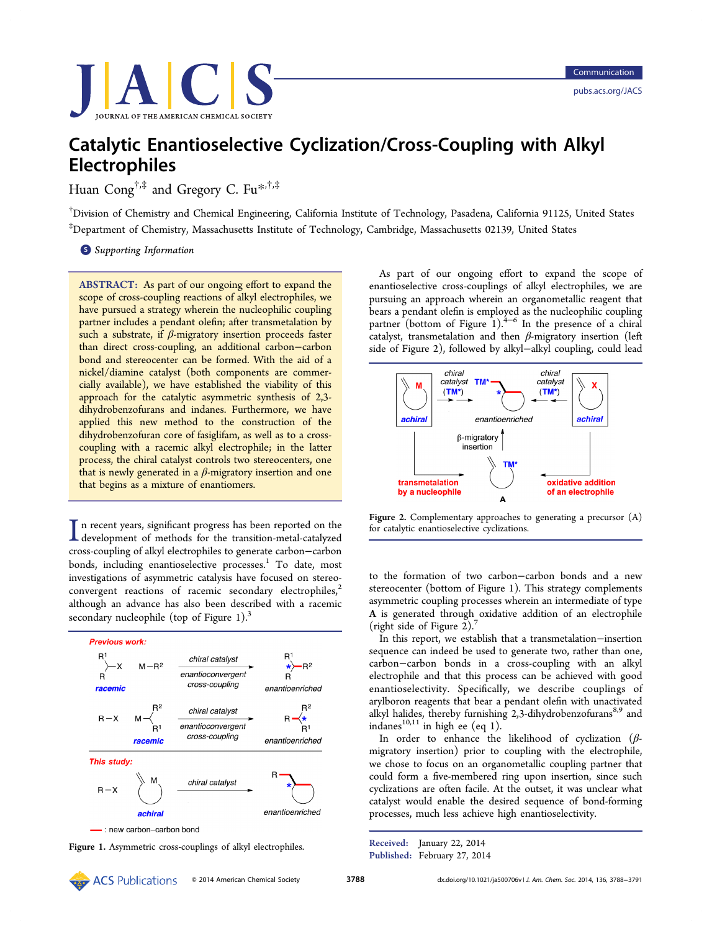

# Catalytic Enantioselective Cyclization/Cross-Coupling with Alkyl Electrophiles

Huan Cong<sup>†,‡</sup> and Gregory C. Fu<sup>\*,†,‡</sup>

† Division of Chemistry and Chemical Engi[ne](#page-2-0)ering, California Institute of Technology, Pasadena, California 91125, United States ‡ Department of Chemistry, Massachusetts Institute of Technology, Cambridge, Massachusetts 02139, United States

**S** Supporting Information

[AB](#page-2-0)STRACT: [As](#page-2-0) [part](#page-2-0) [of](#page-2-0) [our](#page-2-0) ongoing effort to expand the scope of cross-coupling reactions of alkyl electrophiles, we have pursued a strategy wherein the nucleophilic coupling partner includes a pendant olefin; after transmetalation by such a substrate, if  $\beta$ -migratory insertion proceeds faster than direct cross-coupling, an additional carbon−carbon bond and stereocenter can be formed. With the aid of a nickel/diamine catalyst (both components are commercially available), we have established the viability of this approach for the catalytic asymmetric synthesis of 2,3 dihydrobenzofurans and indanes. Furthermore, we have applied this new method to the construction of the dihydrobenzofuran core of fasiglifam, as well as to a crosscoupling with a racemic alkyl electrophile; in the latter process, the chiral catalyst controls two stereocenters, one that is newly generated in a  $β$ -migratory insertion and one that begins as a mixture of enantiomers.

In recent years, significant progress has been reported on the development of methods for the transition-metal-catalyzed n recent years, significant progress has been reported on the cross-coupling of alkyl electrophiles to generate carbon−carbon bonds, including enantioselective processes.<sup>1</sup> To date, most investigations of asymmetric catalysis have focused on stereoconvergent reactions of racemic seconda[ry](#page-2-0) electrophiles, $2^2$ although an advance has also been described with a racemic secondary nucleophile (top of Figure 1). $3$ 



As part of our ongoing effort to expand the scope of enantioselective cross-couplings of alkyl electrophiles, we are pursuing an approach wherein an organometallic reagent that bears a pendant olefin is employed as the nucleophilic coupling partner (bottom of Figure 1).<sup>4–6</sup> In the presence of a chiral catalyst, transmetalation and then  $\beta$ -migratory insertion (left side of Figure 2), followed by [a](#page-2-0)l[ky](#page-2-0)l−alkyl coupling, could lead



Figure 2. Complementary approaches to generating a precursor (A) for catalytic enantioselective cyclizations.

to the formation of two carbon−carbon bonds and a new stereocenter (bottom of Figure 1). This strategy complements asymmetric coupling processes wherein an intermediate of type A is generated through oxidative addition of an electrophile (right side of Figure 2). $\frac{7}{7}$ 

In this report, we establish that a transmetalation−insertion sequence can indeed be [u](#page-3-0)sed to generate two, rather than one, carbon−carbon bonds in a cross-coupling with an alkyl electrophile and that this process can be achieved with good enantioselectivity. Specifically, we describe couplings of arylboron reagents that bear a pendant olefin with unactivated alkyl halides, thereby furnishing 2,3-dihydrobenzofurans<sup>8,9</sup> and indanes<sup>10,11</sup> in high ee (eq 1).

In order to enhance the likelihood of cyclizati[on](#page-3-0)  $(\beta$ migrat[ory in](#page-3-0)sertion) prior [to](#page-1-0) coupling with the electrophile, we chose to focus on an organometallic coupling partner that could form a five-membered ring upon insertion, since such cyclizations are often facile. At the outset, it was unclear what catalyst would enable the desired sequence of bond-forming processes, much less achieve high enantioselectivity.

Received: January 22, 2014 Figure 1. Asymmetric cross-couplings of alkyl electrophiles.<br>Published: February 27, 2014<br>Published: February 27, 2014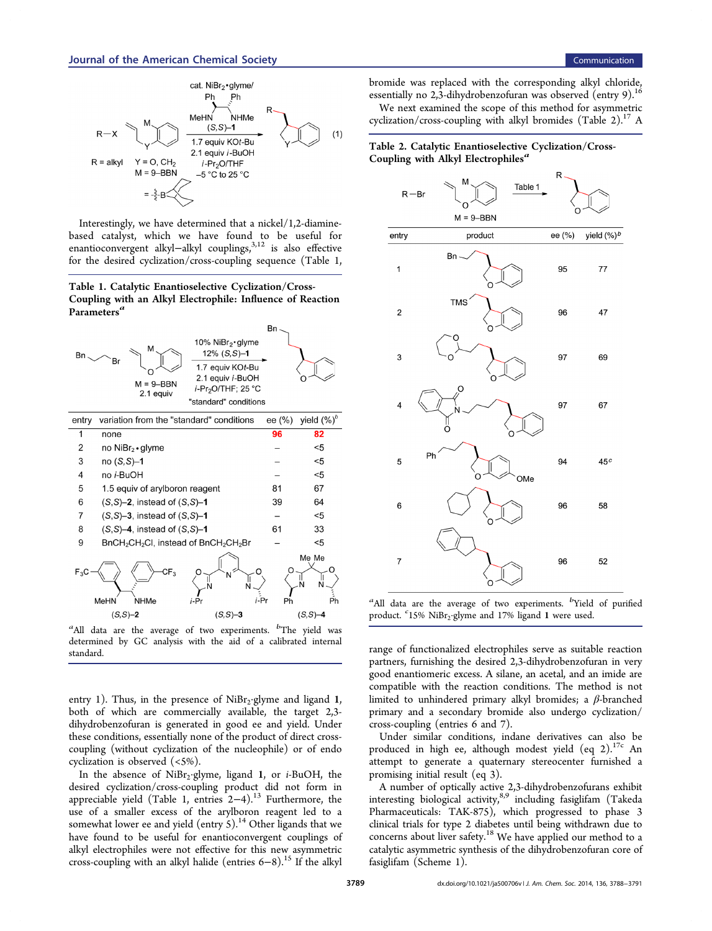<span id="page-1-0"></span>

Interestingly, we have determined that a nickel/1,2-diaminebased catalyst, which we have found to be useful for enantioconvergent alkyl-alkyl couplings,<sup>3,12</sup> is also effective for the desired cyclization/cross-coupling sequence (Table 1,

Table 1. Catalytic Enantioselective Cyclization/Cross-Coupling with an Alkyl Electrophile: Influence of Reaction Parameters<sup>a</sup>



 $a$ All data are the average of two experiments.  $b$ The yield was determined by GC analysis with the aid of a calibrated internal standard.

entry 1). Thus, in the presence of  $NiBr_2$ ·glyme and ligand 1, both of which are commercially available, the target 2,3 dihydrobenzofuran is generated in good ee and yield. Under these conditions, essentially none of the product of direct crosscoupling (without cyclization of the nucleophile) or of endo cyclization is observed (<5%).

In the absence of NiBr<sub>2</sub>·glyme, ligand 1, or *i*-BuOH, the desired cyclization/cross-coupling product did not form in appreciable yield (Table 1, entries 2−4).<sup>13</sup> Furthermore, the use of a smaller excess of the arylboron reagent led to a somewhat lower ee and yield (entry  $5$ ).<sup>14</sup> [Ot](#page-3-0)her ligands that we have found to be useful for enantioconvergent couplings of alkyl electrophiles were not effective f[or](#page-3-0) this new asymmetric cross-coupling with an alkyl halide (entries  $6-8$ ).<sup>15</sup> If the alkyl

bromide was replaced with the corresponding alkyl chloride, essentially no 2,3-dihydrobenzofuran was observed (entry 9).<sup>16</sup> We next examined the scope of this method for asymmetric

cyclization/cross-coupling with alkyl bromides (Table 2).<sup>17</sup> [A](#page-3-0)

# Table 2. Catalytic Enantioselective Cyclization/Cross-Coupling with Alkyl Electrophiles<sup> $a$ </sup>



<sup>a</sup>All data are the average of two experiments. <sup>b</sup>Yield of purified product. <sup>c</sup>15% NiBr<sub>2</sub>·glyme and 17% ligand 1 were used.

range of functionalized electrophiles serve as suitable reaction partners, furnishing the desired 2,3-dihydrobenzofuran in very good enantiomeric excess. A silane, an acetal, and an imide are compatible with the reaction conditions. The method is not limited to unhindered primary alkyl bromides; a  $\beta$ -branched primary and a secondary bromide also undergo cyclization/ cross-coupling (entries 6 and 7).

Under similar conditions, indane derivatives can also be produced in high ee, although modest yield (eq 2).<sup>17c</sup> An attempt to generate a quaternary stereocenter furnished a promising initial result (eq 3).

A number of optically active 2,3-dihydrobenzofura[n](#page-2-0)s exhibit interesting biological activity,<sup>8,9</sup> including fasiglifam (Takeda Pharmaceuticals: TAK-875), which progressed to phase 3 clinical trials for type 2 diabe[tes](#page-3-0) until being withdrawn due to concerns about liver safety.<sup>18</sup> We have applied our method to a catalytic asymmetric synthesis of the dihydrobenzofuran core of fasiglifam (Scheme 1).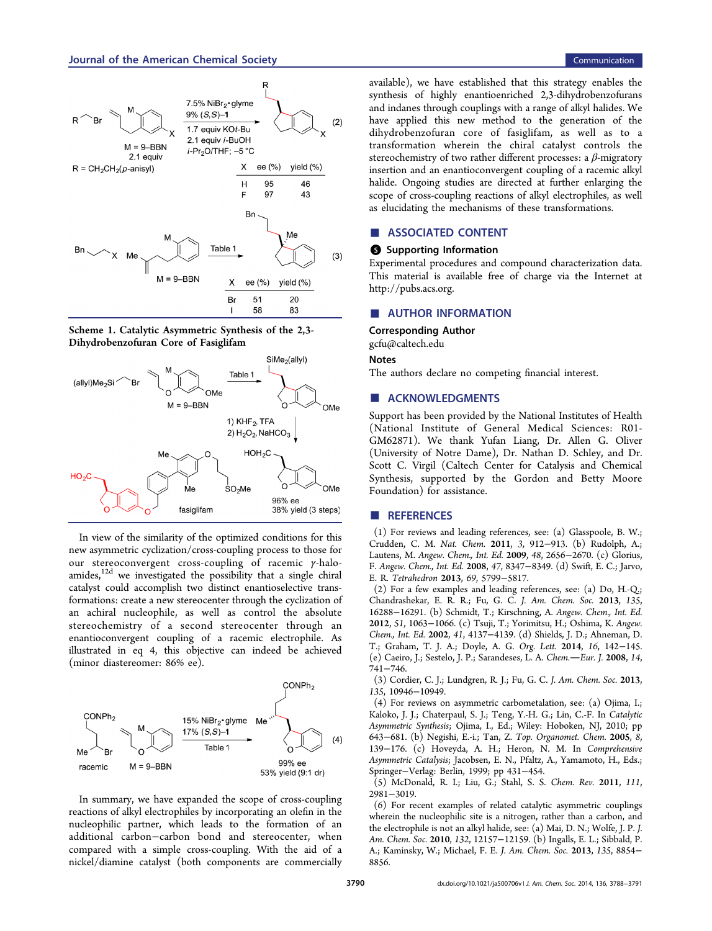<span id="page-2-0"></span>





In view of the similarity of the optimized conditions for this new asymmetric cyclization/cross-coupling process to those for our stereoconvergent cross-coupling of racemic γ-haloamides,<sup>12d</sup> we investigated the possibility that a single chiral catalyst could accomplish two distinct enantioselective transformati[ons](#page-3-0): create a new stereocenter through the cyclization of an achiral nucleophile, as well as control the absolute stereochemistry of a second stereocenter through an enantioconvergent coupling of a racemic electrophile. As illustrated in eq 4, this objective can indeed be achieved (minor diastereomer: 86% ee).



In summary, we have expanded the scope of cross-coupling reactions of alkyl electrophiles by incorporating an olefin in the nucleophilic partner, which leads to the formation of an additional carbon−carbon bond and stereocenter, when compared with a simple cross-coupling. With the aid of a nickel/diamine catalyst (both components are commercially available), we have established that this strategy enables the synthesis of highly enantioenriched 2,3-dihydrobenzofurans and indanes through couplings with a range of alkyl halides. We have applied this new method to the generation of the dihydrobenzofuran core of fasiglifam, as well as to a transformation wherein the chiral catalyst controls the stereochemistry of two rather different processes: a  $\beta$ -migratory insertion and an enantioconvergent coupling of a racemic alkyl halide. Ongoing studies are directed at further enlarging the scope of cross-coupling reactions of alkyl electrophiles, as well as elucidating the mechanisms of these transformations.

# ■ ASSOCIATED CONTENT

### **6** Supporting Information

Experimental procedures and compound characterization data. This material is available free of charge via the Internet at http://pubs.acs.org.

# ■ [AUTHOR INF](http://pubs.acs.org)ORMATION

Corresponding Author

gcfu@caltech.edu

#### Notes

[The authors decla](mailto:gcfu@caltech.edu)re no competing financial interest.

#### ■ ACKNOWLEDGMENTS

Support has been provided by the National Institutes of Health (National Institute of General Medical Sciences: R01- GM62871). We thank Yufan Liang, Dr. Allen G. Oliver (University of Notre Dame), Dr. Nathan D. Schley, and Dr. Scott C. Virgil (Caltech Center for Catalysis and Chemical Synthesis, supported by the Gordon and Betty Moore Foundation) for assistance.

#### ■ REFERENCES

(1) For reviews and leading references, see: (a) Glasspoole, B. W.; Crudden, C. M. Nat. Chem. 2011, 3, 912−913. (b) Rudolph, A.; Lautens, M. Angew. Chem., Int. Ed. 2009, 48, 2656−2670. (c) Glorius, F. Angew. Chem., Int. Ed. 2008, 47, 8347−8349. (d) Swift, E. C.; Jarvo, E. R. Tetrahedron 2013, 69, 5799−5817.

(2) For a few examples and leading references, see: (a) Do, H.-Q.; Chandrashekar, E. R. R.; Fu, G. C. J. Am. Chem. Soc. 2013, 135, 16288−16291. (b) Schmidt, T.; Kirschning, A. Angew. Chem., Int. Ed. 2012, 51, 1063−1066. (c) Tsuji, T.; Yorimitsu, H.; Oshima, K. Angew. Chem., Int. Ed. 2002, 41, 4137−4139. (d) Shields, J. D.; Ahneman, D. T.; Graham, T. J. A.; Doyle, A. G. Org. Lett. 2014, 16, 142−145. (e) Caeiro, J.; Sestelo, J. P.; Sarandeses, L. A. Chem.—Eur. J. 2008, 14, 741−746.

(3) Cordier, C. J.; Lundgren, R. J.; Fu, G. C. J. Am. Chem. Soc. 2013, 135, 10946−10949.

(4) For reviews on asymmetric carbometalation, see: (a) Ojima, I.; Kaloko, J. J.; Chaterpaul, S. J.; Teng, Y.-H. G.; Lin, C.-F. In Catalytic Asymmetric Synthesis; Ojima, I., Ed.; Wiley: Hoboken, NJ, 2010; pp 643−681. (b) Negishi, E.-i.; Tan, Z. Top. Organomet. Chem. 2005, 8, 139−176. (c) Hoveyda, A. H.; Heron, N. M. In Comprehensive Asymmetric Catalysis; Jacobsen, E. N., Pfaltz, A., Yamamoto, H., Eds.; Springer−Verlag: Berlin, 1999; pp 431−454.

(5) McDonald, R. I.; Liu, G.; Stahl, S. S. Chem. Rev. 2011, 111, 2981−3019.

(6) For recent examples of related catalytic asymmetric couplings wherein the nucleophilic site is a nitrogen, rather than a carbon, and the electrophile is not an alkyl halide, see: (a) Mai, D. N.; Wolfe, J. P. J. Am. Chem. Soc. 2010, 132, 12157−12159. (b) Ingalls, E. L.; Sibbald, P. A.; Kaminsky, W.; Michael, F. E. J. Am. Chem. Soc. 2013, 135, 8854− 8856.